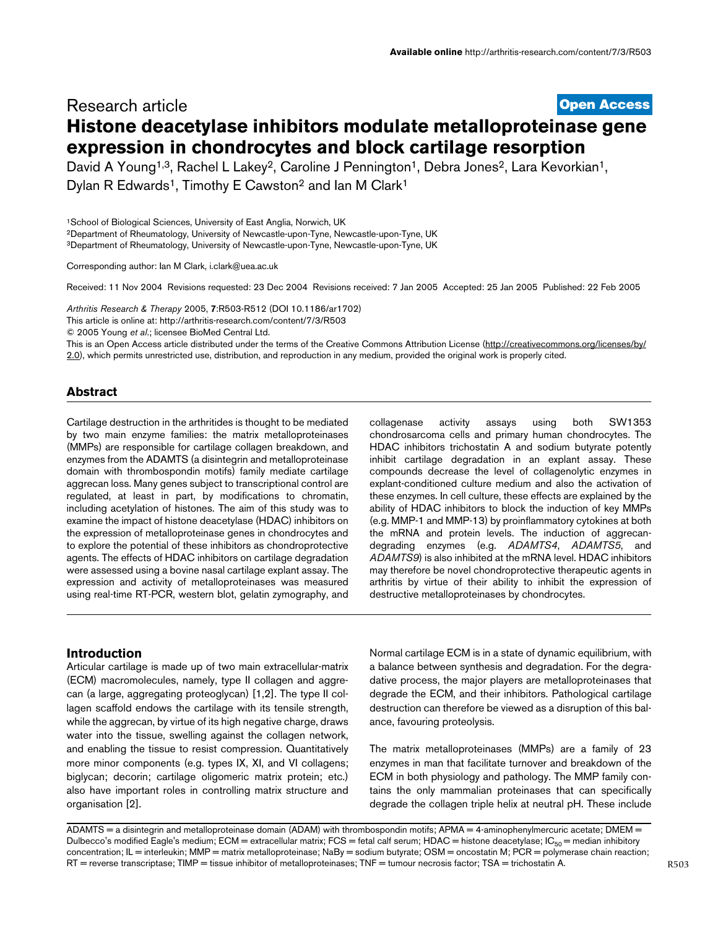# **[Open Access](http://www.biomedcentral.com/info/about/charter/)** Research article **Histone deacetylase inhibitors modulate metalloproteinase gene expression in chondrocytes and block cartilage resorption**

David A Young<sup>1,3</sup>, Rachel L Lakey<sup>2</sup>, Caroline J Pennington<sup>1</sup>, Debra Jones<sup>2</sup>, Lara Kevorkian<sup>1</sup>, Dylan R Edwards<sup>1</sup>, Timothy E Cawston<sup>2</sup> and Ian M Clark<sup>1</sup>

1School of Biological Sciences, University of East Anglia, Norwich, UK 2Department of Rheumatology, University of Newcastle-upon-Tyne, Newcastle-upon-Tyne, UK 3Department of Rheumatology, University of Newcastle-upon-Tyne, Newcastle-upon-Tyne, UK

Corresponding author: Ian M Clark, i.clark@uea.ac.uk

Received: 11 Nov 2004 Revisions requested: 23 Dec 2004 Revisions received: 7 Jan 2005 Accepted: 25 Jan 2005 Published: 22 Feb 2005

*Arthritis Research & Therapy* 2005, **7**:R503-R512 (DOI 10.1186/ar1702)

[This article is online at: http://arthritis-research.com/content/7/3/R503](http://arthritis-research.com/content/7/3/R503)

© 2005 Young *et al*.; licensee BioMed Central Ltd.

This is an Open Access article distributed under the terms of the Creative Commons Attribution License ([http://creativecommons.org/licenses/by/](http://creativecommons.org/licenses/by/2.0) [2.0\)](http://creativecommons.org/licenses/by/2.0), which permits unrestricted use, distribution, and reproduction in any medium, provided the original work is properly cited.

### **Abstract**

Cartilage destruction in the arthritides is thought to be mediated by two main enzyme families: the matrix metalloproteinases (MMPs) are responsible for cartilage collagen breakdown, and enzymes from the ADAMTS (a disintegrin and metalloproteinase domain with thrombospondin motifs) family mediate cartilage aggrecan loss. Many genes subject to transcriptional control are regulated, at least in part, by modifications to chromatin, including acetylation of histones. The aim of this study was to examine the impact of histone deacetylase (HDAC) inhibitors on the expression of metalloproteinase genes in chondrocytes and to explore the potential of these inhibitors as chondroprotective agents. The effects of HDAC inhibitors on cartilage degradation were assessed using a bovine nasal cartilage explant assay. The expression and activity of metalloproteinases was measured using real-time RT-PCR, western blot, gelatin zymography, and

collagenase activity assays using both SW1353 chondrosarcoma cells and primary human chondrocytes. The HDAC inhibitors trichostatin A and sodium butyrate potently inhibit cartilage degradation in an explant assay. These compounds decrease the level of collagenolytic enzymes in explant-conditioned culture medium and also the activation of these enzymes. In cell culture, these effects are explained by the ability of HDAC inhibitors to block the induction of key MMPs (e.g. MMP-1 and MMP-13) by proinflammatory cytokines at both the mRNA and protein levels. The induction of aggrecandegrading enzymes (e.g. *ADAMTS4*, *ADAMTS5*, and *ADAMTS9*) is also inhibited at the mRNA level. HDAC inhibitors may therefore be novel chondroprotective therapeutic agents in arthritis by virtue of their ability to inhibit the expression of destructive metalloproteinases by chondrocytes.

# **Introduction**

Articular cartilage is made up of two main extracellular-matrix (ECM) macromolecules, namely, type II collagen and aggrecan (a large, aggregating proteoglycan) [1,2]. The type II collagen scaffold endows the cartilage with its tensile strength, while the aggrecan, by virtue of its high negative charge, draws water into the tissue, swelling against the collagen network, and enabling the tissue to resist compression. Quantitatively more minor components (e.g. types IX, XI, and VI collagens; biglycan; decorin; cartilage oligomeric matrix protein; etc.) also have important roles in controlling matrix structure and organisation [2].

Normal cartilage ECM is in a state of dynamic equilibrium, with a balance between synthesis and degradation. For the degradative process, the major players are metalloproteinases that degrade the ECM, and their inhibitors. Pathological cartilage destruction can therefore be viewed as a disruption of this balance, favouring proteolysis.

The matrix metalloproteinases (MMPs) are a family of 23 enzymes in man that facilitate turnover and breakdown of the ECM in both physiology and pathology. The MMP family contains the only mammalian proteinases that can specifically degrade the collagen triple helix at neutral pH. These include

 $ADAMTS = a$  disintegrin and metalloproteinase domain  $(ADAM)$  with thrombospondin motifs;  $APMA = 4$ -aminophenylmercuric acetate;  $DMEM =$ Dulbecco's modified Eagle's medium; ECM = extracellular matrix; FCS = fetal calf serum; HDAC = histone deacetylase;  $IC_{50}$  = median inhibitory concentration; IL = interleukin; MMP = matrix metalloproteinase; NaBy = sodium butyrate; OSM = oncostatin M; PCR = polymerase chain reaction; RT = reverse transcriptase; TIMP = tissue inhibitor of metalloproteinases; TNF = tumour necrosis factor; TSA = trichostatin A.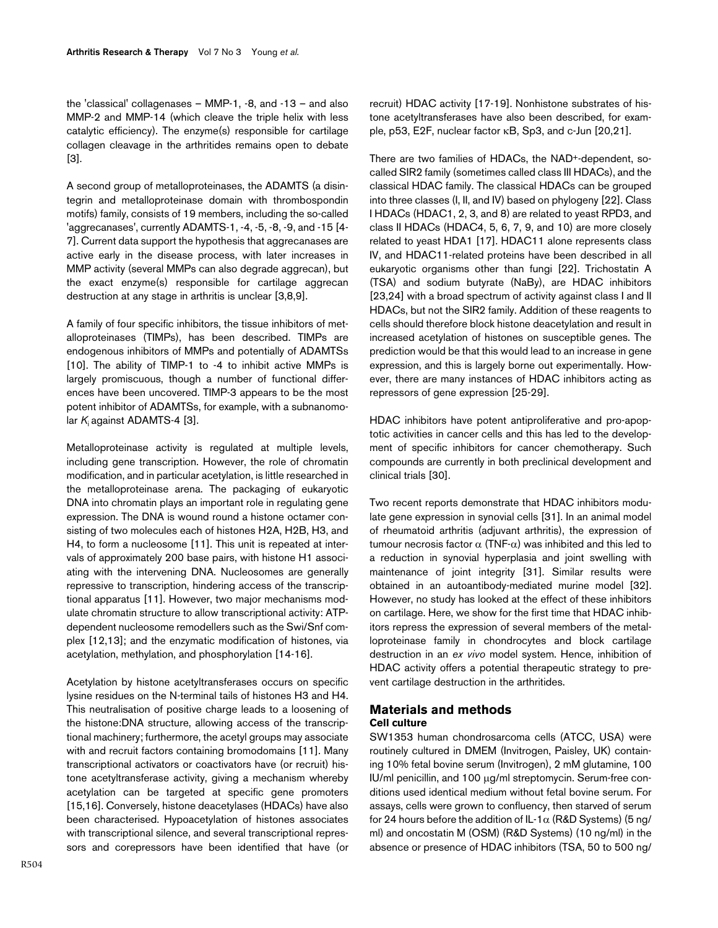the 'classical' collagenases – MMP-1, -8, and -13 – and also MMP-2 and MMP-14 (which cleave the triple helix with less catalytic efficiency). The enzyme(s) responsible for cartilage collagen cleavage in the arthritides remains open to debate [3].

A second group of metalloproteinases, the ADAMTS (a disintegrin and metalloproteinase domain with thrombospondin motifs) family, consists of 19 members, including the so-called 'aggrecanases', currently ADAMTS-1, -4, -5, -8, -9, and -15 [4- 7]. Current data support the hypothesis that aggrecanases are active early in the disease process, with later increases in MMP activity (several MMPs can also degrade aggrecan), but the exact enzyme(s) responsible for cartilage aggrecan destruction at any stage in arthritis is unclear [3,8,9].

A family of four specific inhibitors, the tissue inhibitors of metalloproteinases (TIMPs), has been described. TIMPs are endogenous inhibitors of MMPs and potentially of ADAMTSs [10]. The ability of TIMP-1 to -4 to inhibit active MMPs is largely promiscuous, though a number of functional differences have been uncovered. TIMP-3 appears to be the most potent inhibitor of ADAMTSs, for example, with a subnanomolar *K*i against ADAMTS-4 [3].

Metalloproteinase activity is regulated at multiple levels, including gene transcription. However, the role of chromatin modification, and in particular acetylation, is little researched in the metalloproteinase arena. The packaging of eukaryotic DNA into chromatin plays an important role in regulating gene expression. The DNA is wound round a histone octamer consisting of two molecules each of histones H2A, H2B, H3, and H4, to form a nucleosome [11]. This unit is repeated at intervals of approximately 200 base pairs, with histone H1 associating with the intervening DNA. Nucleosomes are generally repressive to transcription, hindering access of the transcriptional apparatus [11]. However, two major mechanisms modulate chromatin structure to allow transcriptional activity: ATPdependent nucleosome remodellers such as the Swi/Snf complex [12,13]; and the enzymatic modification of histones, via acetylation, methylation, and phosphorylation [14-16].

Acetylation by histone acetyltransferases occurs on specific lysine residues on the N-terminal tails of histones H3 and H4. This neutralisation of positive charge leads to a loosening of the histone:DNA structure, allowing access of the transcriptional machinery; furthermore, the acetyl groups may associate with and recruit factors containing bromodomains [11]. Many transcriptional activators or coactivators have (or recruit) histone acetyltransferase activity, giving a mechanism whereby acetylation can be targeted at specific gene promoters [15,16]. Conversely, histone deacetylases (HDACs) have also been characterised. Hypoacetylation of histones associates with transcriptional silence, and several transcriptional repressors and corepressors have been identified that have (or

recruit) HDAC activity [17-19]. Nonhistone substrates of histone acetyltransferases have also been described, for example, p53, E2F, nuclear factor κB, Sp3, and c-Jun [20,21].

There are two families of HDACs, the NAD+-dependent, socalled SIR2 family (sometimes called class III HDACs), and the classical HDAC family. The classical HDACs can be grouped into three classes (I, II, and IV) based on phylogeny [22]. Class I HDACs (HDAC1, 2, 3, and 8) are related to yeast RPD3, and class II HDACs (HDAC4, 5, 6, 7, 9, and 10) are more closely related to yeast HDA1 [17]. HDAC11 alone represents class IV, and HDAC11-related proteins have been described in all eukaryotic organisms other than fungi [22]. Trichostatin A (TSA) and sodium butyrate (NaBy), are HDAC inhibitors [23,24] with a broad spectrum of activity against class I and II HDACs, but not the SIR2 family. Addition of these reagents to cells should therefore block histone deacetylation and result in increased acetylation of histones on susceptible genes. The prediction would be that this would lead to an increase in gene expression, and this is largely borne out experimentally. However, there are many instances of HDAC inhibitors acting as repressors of gene expression [25-29].

HDAC inhibitors have potent antiproliferative and pro-apoptotic activities in cancer cells and this has led to the development of specific inhibitors for cancer chemotherapy. Such compounds are currently in both preclinical development and clinical trials [30].

Two recent reports demonstrate that HDAC inhibitors modulate gene expression in synovial cells [31]. In an animal model of rheumatoid arthritis (adjuvant arthritis), the expression of tumour necrosis factor α (TNF-α) was inhibited and this led to a reduction in synovial hyperplasia and joint swelling with maintenance of joint integrity [31]. Similar results were obtained in an autoantibody-mediated murine model [32]. However, no study has looked at the effect of these inhibitors on cartilage. Here, we show for the first time that HDAC inhibitors repress the expression of several members of the metalloproteinase family in chondrocytes and block cartilage destruction in an *ex vivo* model system. Hence, inhibition of HDAC activity offers a potential therapeutic strategy to prevent cartilage destruction in the arthritides.

# **Materials and methods Cell culture**

SW1353 human chondrosarcoma cells (ATCC, USA) were routinely cultured in DMEM (Invitrogen, Paisley, UK) containing 10% fetal bovine serum (Invitrogen), 2 mM glutamine, 100 IU/ml penicillin, and 100 µg/ml streptomycin. Serum-free conditions used identical medium without fetal bovine serum. For assays, cells were grown to confluency, then starved of serum for 24 hours before the addition of IL-1 $\alpha$  (R&D Systems) (5 ng/ ml) and oncostatin M (OSM) (R&D Systems) (10 ng/ml) in the absence or presence of HDAC inhibitors (TSA, 50 to 500 ng/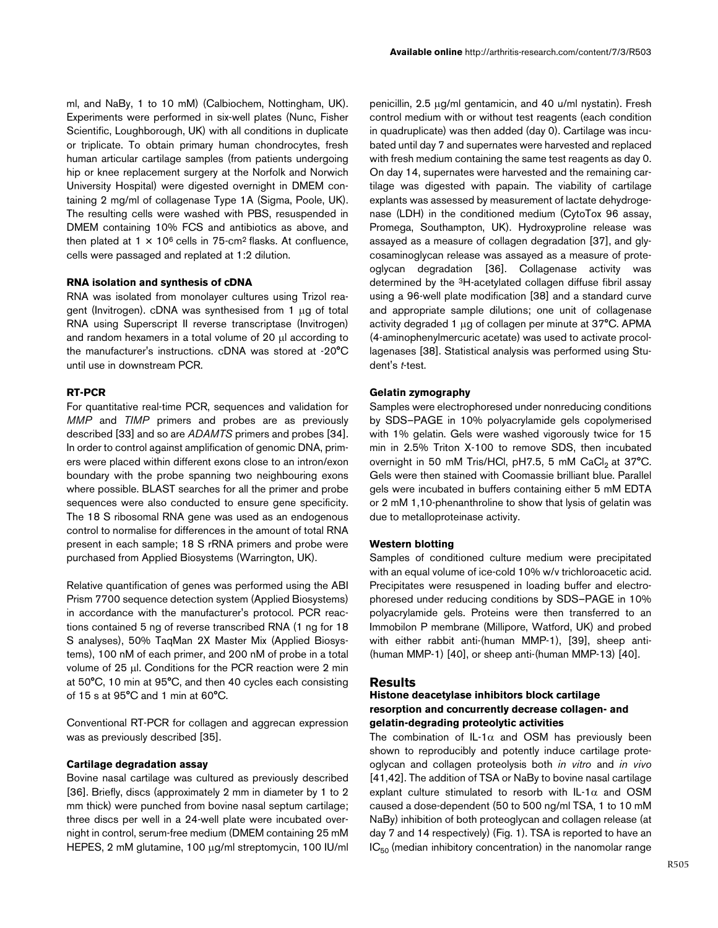ml, and NaBy, 1 to 10 mM) (Calbiochem, Nottingham, UK). Experiments were performed in six-well plates (Nunc, Fisher Scientific, Loughborough, UK) with all conditions in duplicate or triplicate. To obtain primary human chondrocytes, fresh human articular cartilage samples (from patients undergoing hip or knee replacement surgery at the Norfolk and Norwich University Hospital) were digested overnight in DMEM containing 2 mg/ml of collagenase Type 1A (Sigma, Poole, UK). The resulting cells were washed with PBS, resuspended in DMEM containing 10% FCS and antibiotics as above, and then plated at 1  $\times$  10<sup>6</sup> cells in 75-cm<sup>2</sup> flasks. At confluence, cells were passaged and replated at 1:2 dilution.

### **RNA isolation and synthesis of cDNA**

RNA was isolated from monolayer cultures using Trizol reagent (Invitrogen). cDNA was synthesised from 1 µg of total RNA using Superscript II reverse transcriptase (Invitrogen) and random hexamers in a total volume of 20 µl according to the manufacturer's instructions. cDNA was stored at -20°C until use in downstream PCR.

### **RT-PCR**

For quantitative real-time PCR, sequences and validation for *MMP* and *TIMP* primers and probes are as previously described [33] and so are *ADAMTS* primers and probes [34]. In order to control against amplification of genomic DNA, primers were placed within different exons close to an intron/exon boundary with the probe spanning two neighbouring exons where possible. BLAST searches for all the primer and probe sequences were also conducted to ensure gene specificity. The 18 S ribosomal RNA gene was used as an endogenous control to normalise for differences in the amount of total RNA present in each sample; 18 S rRNA primers and probe were purchased from Applied Biosystems (Warrington, UK).

Relative quantification of genes was performed using the ABI Prism 7700 sequence detection system (Applied Biosystems) in accordance with the manufacturer's protocol. PCR reactions contained 5 ng of reverse transcribed RNA (1 ng for 18 S analyses), 50% TaqMan 2X Master Mix (Applied Biosystems), 100 nM of each primer, and 200 nM of probe in a total volume of 25 µl. Conditions for the PCR reaction were 2 min at 50°C, 10 min at 95°C, and then 40 cycles each consisting of 15 s at 95°C and 1 min at 60°C.

Conventional RT-PCR for collagen and aggrecan expression was as previously described [35].

#### **Cartilage degradation assay**

Bovine nasal cartilage was cultured as previously described [36]. Briefly, discs (approximately 2 mm in diameter by 1 to 2 mm thick) were punched from bovine nasal septum cartilage; three discs per well in a 24-well plate were incubated overnight in control, serum-free medium (DMEM containing 25 mM HEPES, 2 mM glutamine, 100 µg/ml streptomycin, 100 IU/ml

penicillin, 2.5 µg/ml gentamicin, and 40 u/ml nystatin). Fresh control medium with or without test reagents (each condition in quadruplicate) was then added (day 0). Cartilage was incubated until day 7 and supernates were harvested and replaced with fresh medium containing the same test reagents as day 0. On day 14, supernates were harvested and the remaining cartilage was digested with papain. The viability of cartilage explants was assessed by measurement of lactate dehydrogenase (LDH) in the conditioned medium (CytoTox 96 assay, Promega, Southampton, UK). Hydroxyproline release was assayed as a measure of collagen degradation [37], and glycosaminoglycan release was assayed as a measure of proteoglycan degradation [36]. Collagenase activity was determined by the 3H-acetylated collagen diffuse fibril assay using a 96-well plate modification [38] and a standard curve and appropriate sample dilutions; one unit of collagenase activity degraded 1 µg of collagen per minute at 37°C. APMA (4-aminophenylmercuric acetate) was used to activate procollagenases [38]. Statistical analysis was performed using Student's *t*-test.

## **Gelatin zymography**

Samples were electrophoresed under nonreducing conditions by SDS–PAGE in 10% polyacrylamide gels copolymerised with 1% gelatin. Gels were washed vigorously twice for 15 min in 2.5% Triton X-100 to remove SDS, then incubated overnight in 50 mM Tris/HCl, pH7.5, 5 mM CaCl<sub>2</sub> at 37°C. Gels were then stained with Coomassie brilliant blue. Parallel gels were incubated in buffers containing either 5 mM EDTA or 2 mM 1,10-phenanthroline to show that lysis of gelatin was due to metalloproteinase activity.

#### **Western blotting**

Samples of conditioned culture medium were precipitated with an equal volume of ice-cold 10% w/v trichloroacetic acid. Precipitates were resuspened in loading buffer and electrophoresed under reducing conditions by SDS–PAGE in 10% polyacrylamide gels. Proteins were then transferred to an Immobilon P membrane (Millipore, Watford, UK) and probed with either rabbit anti-(human MMP-1), [39], sheep anti- (human MMP-1) [40], or sheep anti-(human MMP-13) [40].

#### **Results**

# **Histone deacetylase inhibitors block cartilage resorption and concurrently decrease collagen- and gelatin-degrading proteolytic activities**

The combination of IL-1 $\alpha$  and OSM has previously been shown to reproducibly and potently induce cartilage proteoglycan and collagen proteolysis both *in vitro* and *in vivo* [41,42]. The addition of TSA or NaBy to bovine nasal cartilage explant culture stimulated to resorb with IL-1 $\alpha$  and OSM caused a dose-dependent (50 to 500 ng/ml TSA, 1 to 10 mM NaBy) inhibition of both proteoglycan and collagen release (at day 7 and 14 respectively) (Fig. 1). TSA is reported to have an  $IC_{50}$  (median inhibitory concentration) in the nanomolar range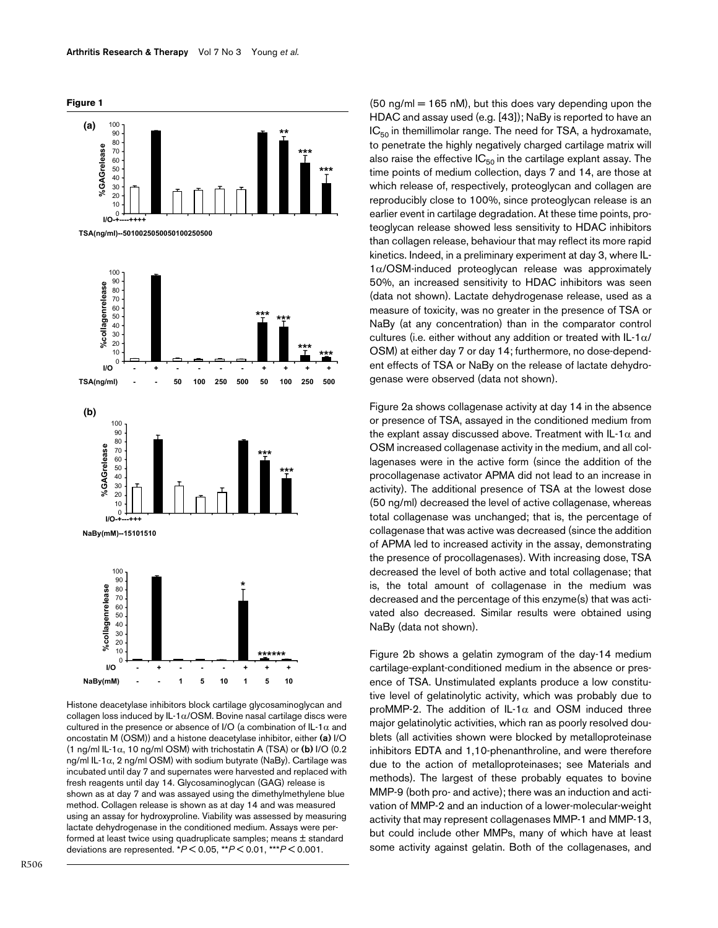

Histone deacetylase inhibitors block cartilage glycosaminoglycan and collagen loss induced by IL-1 $\alpha$ /OSM. Bovine nasal cartilage discs were cultured in the presence or absence of I/O (a combination of IL-1 $\alpha$  and oncostatin M (OSM)) and a histone deacetylase inhibitor, either **(a)** I/O (1 ng/ml IL-1α, 10 ng/ml OSM) with trichostatin A (TSA) or **(b)** I/O (0.2 ng/ml IL-1α, 2 ng/ml OSM) with sodium butyrate (NaBy). Cartilage was incubated until day 7 and supernates were harvested and replaced with fresh reagents until day 14. Glycosaminoglycan (GAG) release is shown as at day 7 and was assayed using the dimethylmethylene blue method. Collagen release is shown as at day 14 and was measured using an assay for hydroxyproline. Viability was assessed by measuring lactate dehydrogenase in the conditioned medium. Assays were performed at least twice using quadruplicate samples; means ± standard deviations are represented. \**P* < 0.05, \*\**P* < 0.01, \*\*\**P* < 0.001.

 $(50 \text{ ng/ml} = 165 \text{ nM})$ , but this does vary depending upon the HDAC and assay used (e.g. [43]); NaBy is reported to have an  $IC_{50}$  in themillimolar range. The need for TSA, a hydroxamate, to penetrate the highly negatively charged cartilage matrix will also raise the effective  $IC_{50}$  in the cartilage explant assay. The time points of medium collection, days 7 and 14, are those at which release of, respectively, proteoglycan and collagen are reproducibly close to 100%, since proteoglycan release is an earlier event in cartilage degradation. At these time points, proteoglycan release showed less sensitivity to HDAC inhibitors than collagen release, behaviour that may reflect its more rapid kinetics. Indeed, in a preliminary experiment at day 3, where IL-1α/OSM-induced proteoglycan release was approximately 50%, an increased sensitivity to HDAC inhibitors was seen (data not shown). Lactate dehydrogenase release, used as a measure of toxicity, was no greater in the presence of TSA or NaBy (at any concentration) than in the comparator control cultures (i.e. either without any addition or treated with  $IL-1\alpha/$ OSM) at either day 7 or day 14; furthermore, no dose-dependent effects of TSA or NaBy on the release of lactate dehydrogenase were observed (data not shown).

Figure [2a](#page-4-0) shows collagenase activity at day 14 in the absence or presence of TSA, assayed in the conditioned medium from the explant assay discussed above. Treatment with IL-1 $\alpha$  and OSM increased collagenase activity in the medium, and all collagenases were in the active form (since the addition of the procollagenase activator APMA did not lead to an increase in activity). The additional presence of TSA at the lowest dose (50 ng/ml) decreased the level of active collagenase, whereas total collagenase was unchanged; that is, the percentage of collagenase that was active was decreased (since the addition of APMA led to increased activity in the assay, demonstrating the presence of procollagenases). With increasing dose, TSA decreased the level of both active and total collagenase; that is, the total amount of collagenase in the medium was decreased and the percentage of this enzyme(s) that was activated also decreased. Similar results were obtained using NaBy (data not shown).

Figure [2b](#page-4-0) shows a gelatin zymogram of the day-14 medium cartilage-explant-conditioned medium in the absence or presence of TSA. Unstimulated explants produce a low constitutive level of gelatinolytic activity, which was probably due to proMMP-2. The addition of IL-1 $\alpha$  and OSM induced three major gelatinolytic activities, which ran as poorly resolved doublets (all activities shown were blocked by metalloproteinase inhibitors EDTA and 1,10-phenanthroline, and were therefore due to the action of metalloproteinases; see Materials and methods). The largest of these probably equates to bovine MMP-9 (both pro- and active); there was an induction and activation of MMP-2 and an induction of a lower-molecular-weight activity that may represent collagenases MMP-1 and MMP-13, but could include other MMPs, many of which have at least some activity against gelatin. Both of the collagenases, and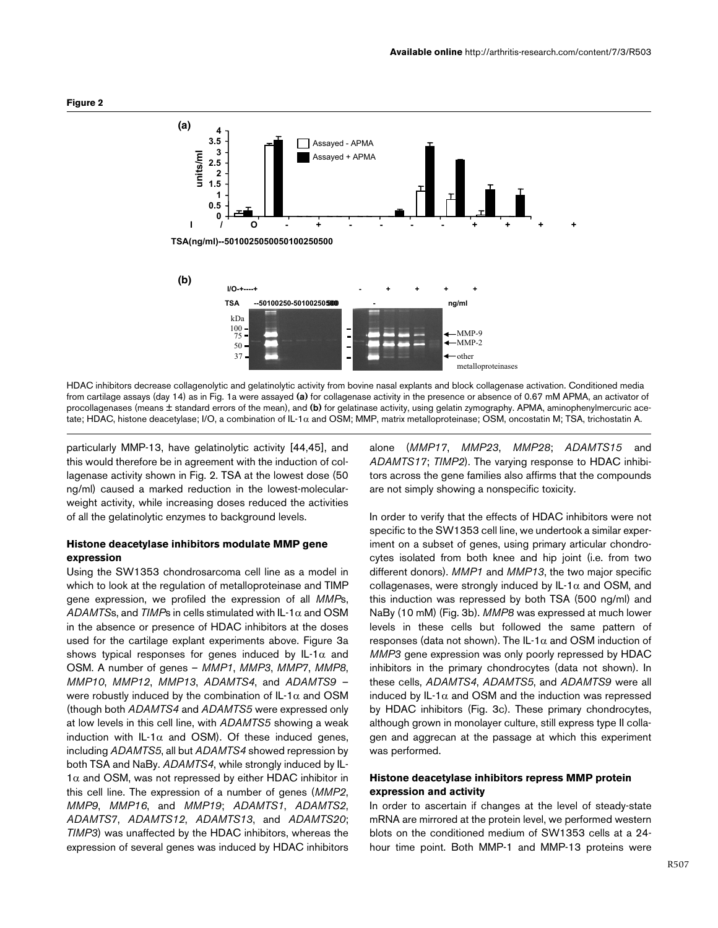<span id="page-4-0"></span>



HDAC inhibitors decrease collagenolytic and gelatinolytic activity from bovine nasal explants and block collagenase activation. Conditioned media from cartilage assays (day 14) as in Fig. 1a were assayed **(a)** for collagenase activity in the presence or absence of 0.67 mM APMA, an activator of procollagenases (means ± standard errors of the mean), and **(b)** for gelatinase activity, using gelatin zymography. APMA, aminophenylmercuric acetate; HDAC, histone deacetylase; I/O, a combination of IL-1α and OSM; MMP, matrix metalloproteinase; OSM, oncostatin M; TSA, trichostatin A.

particularly MMP-13, have gelatinolytic activity [44,45], and this would therefore be in agreement with the induction of collagenase activity shown in Fig. [2](#page-4-0). TSA at the lowest dose (50 ng/ml) caused a marked reduction in the lowest-molecularweight activity, while increasing doses reduced the activities of all the gelatinolytic enzymes to background levels.

# **Histone deacetylase inhibitors modulate MMP gene expression**

Using the SW1353 chondrosarcoma cell line as a model in which to look at the regulation of metalloproteinase and TIMP gene expression, we profiled the expression of all *MMP*s, *ADAMTS*s, and *TIMP*s in cells stimulated with IL-1α and OSM in the absence or presence of HDAC inhibitors at the doses used for the cartilage explant experiments above. Figure [3a](#page-5-0) shows typical responses for genes induced by IL-1 $\alpha$  and OSM. A number of genes – *MMP1*, *MMP3*, *MMP7*, *MMP8*, *MMP10*, *MMP12*, *MMP13*, *ADAMTS4*, and *ADAMTS9* – were robustly induced by the combination of  $IL-1\alpha$  and OSM (though both *ADAMTS4* and *ADAMTS5* were expressed only at low levels in this cell line, with *ADAMTS5* showing a weak induction with IL-1 $\alpha$  and OSM). Of these induced genes, including *ADAMTS5*, all but *ADAMTS4* showed repression by both TSA and NaBy. *ADAMTS4*, while strongly induced by IL- $1\alpha$  and OSM, was not repressed by either HDAC inhibitor in this cell line. The expression of a number of genes (*MMP2*, *MMP9*, *MMP16*, and *MMP19*; *ADAMTS1*, *ADAMTS2*, *ADAMTS7*, *ADAMTS12*, *ADAMTS13*, and *ADAMTS20*; *TIMP3*) was unaffected by the HDAC inhibitors, whereas the expression of several genes was induced by HDAC inhibitors

alone (*MMP17*, *MMP23*, *MMP28*; *ADAMTS15* and *ADAMTS17*; *TIMP2*). The varying response to HDAC inhibitors across the gene families also affirms that the compounds are not simply showing a nonspecific toxicity.

In order to verify that the effects of HDAC inhibitors were not specific to the SW1353 cell line, we undertook a similar experiment on a subset of genes, using primary articular chondrocytes isolated from both knee and hip joint (i.e. from two different donors). *MMP1* and *MMP13*, the two major specific collagenases, were strongly induced by IL-1 $\alpha$  and OSM, and this induction was repressed by both TSA (500 ng/ml) and NaBy (10 mM) (Fig. [3](#page-5-0)b). *MMP8* was expressed at much lower levels in these cells but followed the same pattern of responses (data not shown). The IL-1 $\alpha$  and OSM induction of *MMP3* gene expression was only poorly repressed by HDAC inhibitors in the primary chondrocytes (data not shown). In these cells, *ADAMTS4*, *ADAMTS5*, and *ADAMTS9* were all induced by IL-1 $\alpha$  and OSM and the induction was repressed by HDAC inhibitors (Fig. [3](#page-5-0)c). These primary chondrocytes, although grown in monolayer culture, still express type II collagen and aggrecan at the passage at which this experiment was performed.

# **Histone deacetylase inhibitors repress MMP protein expression and activity**

In order to ascertain if changes at the level of steady-state mRNA are mirrored at the protein level, we performed western blots on the conditioned medium of SW1353 cells at a 24 hour time point. Both MMP-1 and MMP-13 proteins were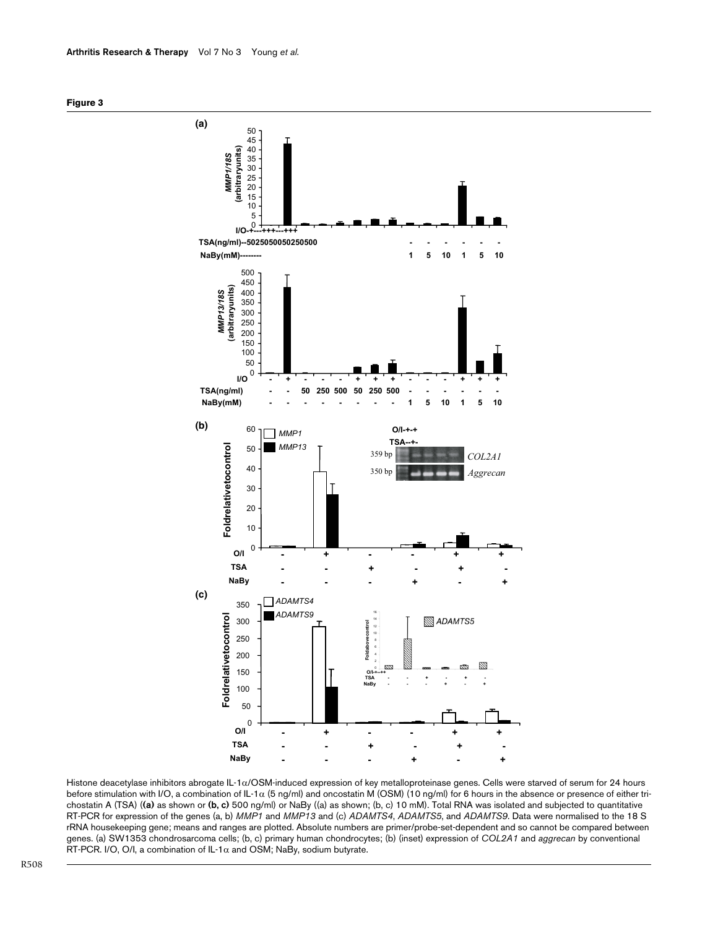<span id="page-5-0"></span>



Histone deacetylase inhibitors abrogate IL-1α/OSM-induced expression of key metalloproteinase genes genes. Cells were starved of serum for 24 hours before stimulation with I/O, a combination of IL-1 $\alpha$  (5 ng/ml) and oncostatin M (OSM) (10 ng/ml) for 6 hours in the absence or presence of either trichostatin A (TSA) (**(a)** as shown or **(b, c)** 500 ng/ml) or NaBy ((a) as shown; (b, c) 10 mM). Total RNA was isolated and subjected to quantitative RT-PCR for expression of the genes (a, b) *MMP1* and *MMP13* and (c) *ADAMTS4*, *ADAMTS5*, and *ADAMTS9*. Data were normalised to the 18 S rRNA housekeeping gene; means and ranges are plotted. Absolute numbers are primer/probe-set-dependent and so cannot be compared between genes. (a) SW1353 chondrosarcoma cells; (b, c) primary human chondrocytes; (b) (inset) expression of *COL2A1* and *aggrecan* by conventional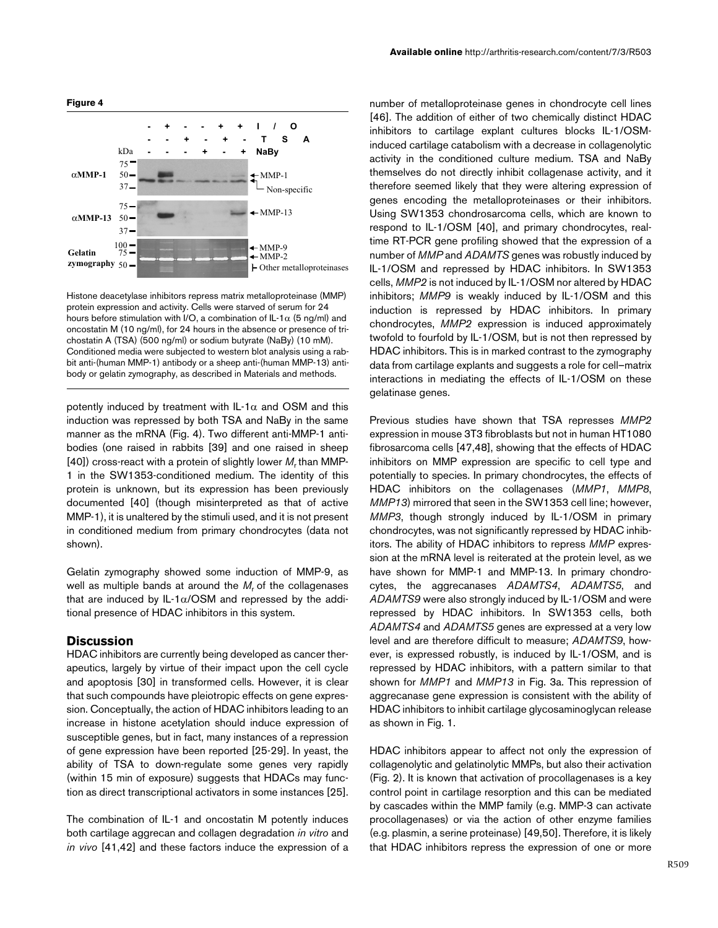



Histone deacetylase inhibitors repress matrix metalloproteinase (MMP) protein expression and activity. Cells were starved of serum for 24 hours before stimulation with I/O, a combination of IL-1 $\alpha$  (5 ng/ml) and oncostatin M (10 ng/ml), for 24 hours in the absence or presence of trichostatin A (TSA) (500 ng/ml) or sodium butyrate (NaBy) (10 mM). Conditioned media were subjected to western blot analysis using a rabbit anti-(human MMP-1) antibody or a sheep anti-(human MMP-13) antibody or gelatin zymography, as described in Materials and methods.

potently induced by treatment with IL-1 $\alpha$  and OSM and this induction was repressed by both TSA and NaBy in the same manner as the mRNA (Fig. 4). Two different anti-MMP-1 antibodies (one raised in rabbits [39] and one raised in sheep [40]) cross-react with a protein of slightly lower M<sub>r</sub> than MMP-1 in the SW1353-conditioned medium. The identity of this protein is unknown, but its expression has been previously documented [40] (though misinterpreted as that of active MMP-1), it is unaltered by the stimuli used, and it is not present in conditioned medium from primary chondrocytes (data not shown).

Gelatin zymography showed some induction of MMP-9, as well as multiple bands at around the *M<sub>r</sub>* of the collagenases that are induced by IL-1 $\alpha$ /OSM and repressed by the additional presence of HDAC inhibitors in this system.

### **Discussion**

HDAC inhibitors are currently being developed as cancer therapeutics, largely by virtue of their impact upon the cell cycle and apoptosis [30] in transformed cells. However, it is clear that such compounds have pleiotropic effects on gene expression. Conceptually, the action of HDAC inhibitors leading to an increase in histone acetylation should induce expression of susceptible genes, but in fact, many instances of a repression of gene expression have been reported [25-29]. In yeast, the ability of TSA to down-regulate some genes very rapidly (within 15 min of exposure) suggests that HDACs may function as direct transcriptional activators in some instances [25].

The combination of IL-1 and oncostatin M potently induces both cartilage aggrecan and collagen degradation *in vitro* and *in vivo* [41,42] and these factors induce the expression of a

number of metalloproteinase genes in chondrocyte cell lines [46]. The addition of either of two chemically distinct HDAC inhibitors to cartilage explant cultures blocks IL-1/OSMinduced cartilage catabolism with a decrease in collagenolytic activity in the conditioned culture medium. TSA and NaBy themselves do not directly inhibit collagenase activity, and it therefore seemed likely that they were altering expression of genes encoding the metalloproteinases or their inhibitors. Using SW1353 chondrosarcoma cells, which are known to respond to IL-1/OSM [40], and primary chondrocytes, realtime RT-PCR gene profiling showed that the expression of a number of *MMP* and *ADAMTS* genes was robustly induced by IL-1/OSM and repressed by HDAC inhibitors. In SW1353 cells, *MMP2* is not induced by IL-1/OSM nor altered by HDAC inhibitors; *MMP9* is weakly induced by IL-1/OSM and this induction is repressed by HDAC inhibitors. In primary chondrocytes, *MMP2* expression is induced approximately twofold to fourfold by IL-1/OSM, but is not then repressed by HDAC inhibitors. This is in marked contrast to the zymography data from cartilage explants and suggests a role for cell–matrix interactions in mediating the effects of IL-1/OSM on these gelatinase genes.

Previous studies have shown that TSA represses *MMP2* expression in mouse 3T3 fibroblasts but not in human HT1080 fibrosarcoma cells [47,48], showing that the effects of HDAC inhibitors on MMP expression are specific to cell type and potentially to species. In primary chondrocytes, the effects of HDAC inhibitors on the collagenases (*MMP1*, *MMP8*, *MMP13*) mirrored that seen in the SW1353 cell line; however, *MMP3*, though strongly induced by IL-1/OSM in primary chondrocytes, was not significantly repressed by HDAC inhibitors. The ability of HDAC inhibitors to repress *MMP* expression at the mRNA level is reiterated at the protein level, as we have shown for MMP-1 and MMP-13. In primary chondrocytes, the aggrecanases *ADAMTS4*, *ADAMTS5*, and *ADAMTS9* were also strongly induced by IL-1/OSM and were repressed by HDAC inhibitors. In SW1353 cells, both *ADAMTS4* and *ADAMTS5* genes are expressed at a very low level and are therefore difficult to measure; *ADAMTS9*, however, is expressed robustly, is induced by IL-1/OSM, and is repressed by HDAC inhibitors, with a pattern similar to that shown for *MMP1* and *MMP13* in Fig. [3](#page-5-0)a. This repression of aggrecanase gene expression is consistent with the ability of HDAC inhibitors to inhibit cartilage glycosaminoglycan release as shown in Fig. 1.

HDAC inhibitors appear to affect not only the expression of collagenolytic and gelatinolytic MMPs, but also their activation (Fig. [2](#page-4-0)). It is known that activation of procollagenases is a key control point in cartilage resorption and this can be mediated by cascades within the MMP family (e.g. MMP-3 can activate procollagenases) or via the action of other enzyme families (e.g. plasmin, a serine proteinase) [49,50]. Therefore, it is likely that HDAC inhibitors repress the expression of one or more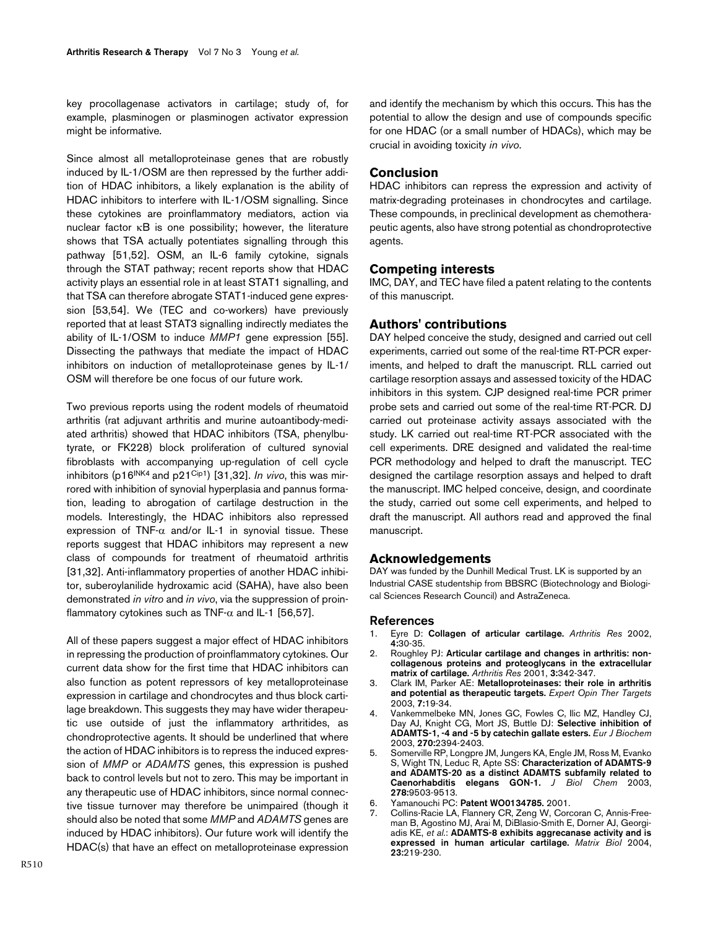key procollagenase activators in cartilage; study of, for example, plasminogen or plasminogen activator expression might be informative.

Since almost all metalloproteinase genes that are robustly induced by IL-1/OSM are then repressed by the further addition of HDAC inhibitors, a likely explanation is the ability of HDAC inhibitors to interfere with IL-1/OSM signalling. Since these cytokines are proinflammatory mediators, action via nuclear factor κB is one possibility; however, the literature shows that TSA actually potentiates signalling through this pathway [51,52]. OSM, an IL-6 family cytokine, signals through the STAT pathway; recent reports show that HDAC activity plays an essential role in at least STAT1 signalling, and that TSA can therefore abrogate STAT1-induced gene expression [53,54]. We (TEC and co-workers) have previously reported that at least STAT3 signalling indirectly mediates the ability of IL-1/OSM to induce *MMP1* gene expression [55]. Dissecting the pathways that mediate the impact of HDAC inhibitors on induction of metalloproteinase genes by IL-1/ OSM will therefore be one focus of our future work.

Two previous reports using the rodent models of rheumatoid arthritis (rat adjuvant arthritis and murine autoantibody-mediated arthritis) showed that HDAC inhibitors (TSA, phenylbutyrate, or FK228) block proliferation of cultured synovial fibroblasts with accompanying up-regulation of cell cycle inhibitors (p16<sup>INK4</sup> and p21<sup>Cip1</sup>) [31,32]. *In vivo*, this was mirrored with inhibition of synovial hyperplasia and pannus formation, leading to abrogation of cartilage destruction in the models. Interestingly, the HDAC inhibitors also repressed expression of TNF- $\alpha$  and/or IL-1 in synovial tissue. These reports suggest that HDAC inhibitors may represent a new class of compounds for treatment of rheumatoid arthritis [31,32]. Anti-inflammatory properties of another HDAC inhibitor, suberoylanilide hydroxamic acid (SAHA), have also been demonstrated *in vitro* and *in vivo*, via the suppression of proinflammatory cytokines such as TNF- $\alpha$  and IL-1 [56,57].

All of these papers suggest a major effect of HDAC inhibitors in repressing the production of proinflammatory cytokines. Our current data show for the first time that HDAC inhibitors can also function as potent repressors of key metalloproteinase expression in cartilage and chondrocytes and thus block cartilage breakdown. This suggests they may have wider therapeutic use outside of just the inflammatory arthritides, as chondroprotective agents. It should be underlined that where the action of HDAC inhibitors is to repress the induced expression of *MMP* or *ADAMTS* genes, this expression is pushed back to control levels but not to zero. This may be important in any therapeutic use of HDAC inhibitors, since normal connective tissue turnover may therefore be unimpaired (though it should also be noted that some *MMP* and *ADAMTS* genes are induced by HDAC inhibitors). Our future work will identify the HDAC(s) that have an effect on metalloproteinase expression

and identify the mechanism by which this occurs. This has the potential to allow the design and use of compounds specific for one HDAC (or a small number of HDACs), which may be crucial in avoiding toxicity *in vivo*.

# **Conclusion**

HDAC inhibitors can repress the expression and activity of matrix-degrading proteinases in chondrocytes and cartilage. These compounds, in preclinical development as chemotherapeutic agents, also have strong potential as chondroprotective agents.

# **Competing interests**

IMC, DAY, and TEC have filed a patent relating to the contents of this manuscript.

### **Authors' contributions**

DAY helped conceive the study, designed and carried out cell experiments, carried out some of the real-time RT-PCR experiments, and helped to draft the manuscript. RLL carried out cartilage resorption assays and assessed toxicity of the HDAC inhibitors in this system. CJP designed real-time PCR primer probe sets and carried out some of the real-time RT-PCR. DJ carried out proteinase activity assays associated with the study. LK carried out real-time RT-PCR associated with the cell experiments. DRE designed and validated the real-time PCR methodology and helped to draft the manuscript. TEC designed the cartilage resorption assays and helped to draft the manuscript. IMC helped conceive, design, and coordinate the study, carried out some cell experiments, and helped to draft the manuscript. All authors read and approved the final manuscript.

# **Acknowledgements**

DAY was funded by the Dunhill Medical Trust. LK is supported by an Industrial CASE studentship from BBSRC (Biotechnology and Biological Sciences Research Council) and AstraZeneca.

#### **References**

- 1. Eyre D: **[Collagen of articular cartilage.](http://www.ncbi.nlm.nih.gov/entrez/query.fcgi?cmd=Retrieve&db=PubMed&dopt=Abstract&list_uids=11879535)** *Arthritis Res* 2002, **4:**30-35.
- 2. Roughley PJ: **[Articular cartilage and changes in arthritis: non](http://www.ncbi.nlm.nih.gov/entrez/query.fcgi?cmd=Retrieve&db=PubMed&dopt=Abstract&list_uids=11714388)[collagenous proteins and proteoglycans in the extracellular](http://www.ncbi.nlm.nih.gov/entrez/query.fcgi?cmd=Retrieve&db=PubMed&dopt=Abstract&list_uids=11714388) [matrix of cartilage.](http://www.ncbi.nlm.nih.gov/entrez/query.fcgi?cmd=Retrieve&db=PubMed&dopt=Abstract&list_uids=11714388)** *Arthritis Res* 2001, **3:**342-347.
- 3. Clark IM, Parker AE: **[Metalloproteinases: their role in arthritis](http://www.ncbi.nlm.nih.gov/entrez/query.fcgi?cmd=Retrieve&db=PubMed&dopt=Abstract&list_uids=12556200) [and potential as therapeutic targets.](http://www.ncbi.nlm.nih.gov/entrez/query.fcgi?cmd=Retrieve&db=PubMed&dopt=Abstract&list_uids=12556200)** *Expert Opin Ther Targets* 2003, **7:**19-34.
- 4. Vankemmelbeke MN, Jones GC, Fowles C, Ilic MZ, Handley CJ, Day AJ, Knight CG, Mort JS, Buttle DJ: **[Selective inhibition of](http://www.ncbi.nlm.nih.gov/entrez/query.fcgi?cmd=Retrieve&db=PubMed&dopt=Abstract&list_uids=12755694) [ADAMTS-1, -4 and -5 by catechin gallate esters.](http://www.ncbi.nlm.nih.gov/entrez/query.fcgi?cmd=Retrieve&db=PubMed&dopt=Abstract&list_uids=12755694)** *Eur J Biochem* 2003, **270:**2394-2403.
- 5. Somerville RP, Longpre JM, Jungers KA, Engle JM, Ross M, Evanko S, Wight TN, Leduc R, Apte SS: **[Characterization of ADAMTS-9](http://www.ncbi.nlm.nih.gov/entrez/query.fcgi?cmd=Retrieve&db=PubMed&dopt=Abstract&list_uids=12514189) [and ADAMTS-20 as a distinct ADAMTS subfamily related to](http://www.ncbi.nlm.nih.gov/entrez/query.fcgi?cmd=Retrieve&db=PubMed&dopt=Abstract&list_uids=12514189) [Caenorhabditis elegans GON-1.](http://www.ncbi.nlm.nih.gov/entrez/query.fcgi?cmd=Retrieve&db=PubMed&dopt=Abstract&list_uids=12514189)** *J Biol Chem* 2003, **278:**9503-9513.
- 6. Yamanouchi PC: **Patent WO0134785.** 2001.
- 7. Collins-Racie LA, Flannery CR, Zeng W, Corcoran C, Annis-Freeman B, Agostino MJ, Arai M, DiBlasio-Smith E, Dorner AJ, Georgiadis KE, *et al.*: **[ADAMTS-8 exhibits aggrecanase activity and is](http://www.ncbi.nlm.nih.gov/entrez/query.fcgi?cmd=Retrieve&db=PubMed&dopt=Abstract&list_uids=15296936) [expressed in human articular cartilage.](http://www.ncbi.nlm.nih.gov/entrez/query.fcgi?cmd=Retrieve&db=PubMed&dopt=Abstract&list_uids=15296936)** *Matrix Biol* 2004, **23:**219-230.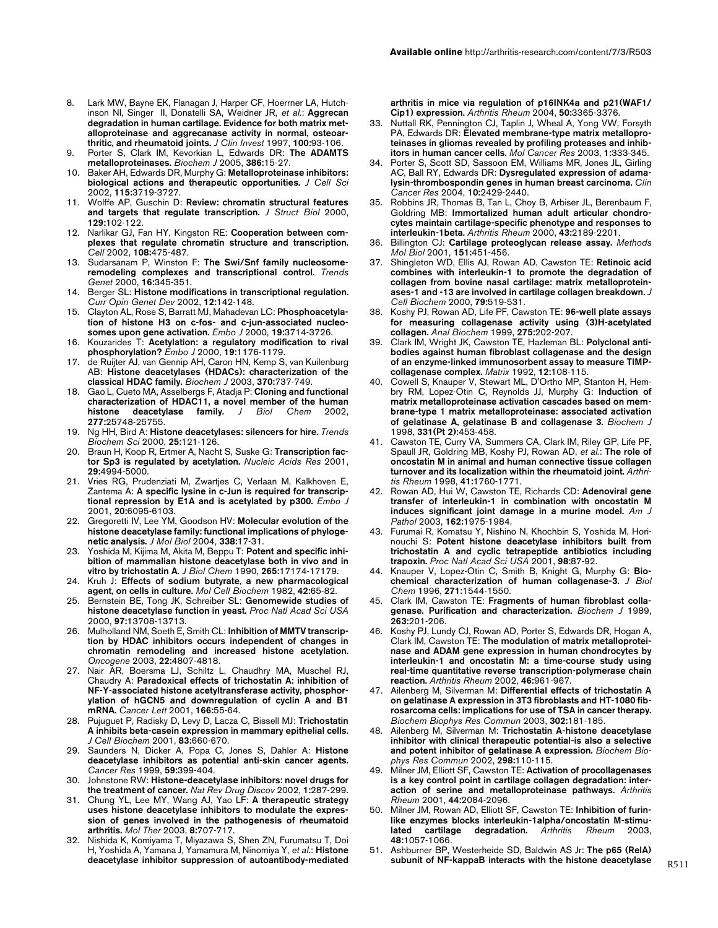- 8. Lark MW, Bayne EK, Flanagan J, Harper CF, Hoerrner LA, Hutchinson NI, Singer II, Donatelli SA, Weidner JR, *et al.*: **[Aggrecan](http://www.ncbi.nlm.nih.gov/entrez/query.fcgi?cmd=Retrieve&db=PubMed&dopt=Abstract&list_uids=9202061) [degradation in human cartilage. Evidence for both matrix met](http://www.ncbi.nlm.nih.gov/entrez/query.fcgi?cmd=Retrieve&db=PubMed&dopt=Abstract&list_uids=9202061)alloproteinase and aggrecanase activity in normal, osteoar[thritic, and rheumatoid joints.](http://www.ncbi.nlm.nih.gov/entrez/query.fcgi?cmd=Retrieve&db=PubMed&dopt=Abstract&list_uids=9202061)** *J Clin Invest* 1997, **100:**93-106.
- 9. Porter S, Clark IM, Kevorkian L, Edwards DR: **[The ADAMTS](http://www.ncbi.nlm.nih.gov/entrez/query.fcgi?cmd=Retrieve&db=PubMed&dopt=Abstract&list_uids=15554875) [metalloproteinases.](http://www.ncbi.nlm.nih.gov/entrez/query.fcgi?cmd=Retrieve&db=PubMed&dopt=Abstract&list_uids=15554875)** *Biochem J* 2005, **386:**15-27.
- 10. Baker AH, Edwards DR, Murphy G: **[Metalloproteinase inhibitors:](http://www.ncbi.nlm.nih.gov/entrez/query.fcgi?cmd=Retrieve&db=PubMed&dopt=Abstract&list_uids=12235282) [biological actions and therapeutic opportunities.](http://www.ncbi.nlm.nih.gov/entrez/query.fcgi?cmd=Retrieve&db=PubMed&dopt=Abstract&list_uids=12235282)** *J Cell Sci* 2002, **115:**3719-3727.
- 11. Wolffe AP, Guschin D: **[Review: chromatin structural features](http://www.ncbi.nlm.nih.gov/entrez/query.fcgi?cmd=Retrieve&db=PubMed&dopt=Abstract&list_uids=10806063) [and targets that regulate transcription.](http://www.ncbi.nlm.nih.gov/entrez/query.fcgi?cmd=Retrieve&db=PubMed&dopt=Abstract&list_uids=10806063)** *J Struct Biol* 2000, **129:**102-122.
- 12. Narlikar GJ, Fan HY, Kingston RE: **[Cooperation between com](http://www.ncbi.nlm.nih.gov/entrez/query.fcgi?cmd=Retrieve&db=PubMed&dopt=Abstract&list_uids=11909519)[plexes that regulate chromatin structure and transcription.](http://www.ncbi.nlm.nih.gov/entrez/query.fcgi?cmd=Retrieve&db=PubMed&dopt=Abstract&list_uids=11909519)** *Cell* 2002, **108:**475-487.
- 13. Sudarsanam P, Winston F: **[The Swi/Snf family nucleosome](http://www.ncbi.nlm.nih.gov/entrez/query.fcgi?cmd=Retrieve&db=PubMed&dopt=Abstract&list_uids=10904263)[remodeling complexes and transcriptional control.](http://www.ncbi.nlm.nih.gov/entrez/query.fcgi?cmd=Retrieve&db=PubMed&dopt=Abstract&list_uids=10904263)** *Trends Genet* 2000, **16:**345-351.
- 14. Berger SL: **[Histone modifications in transcriptional regulation.](http://www.ncbi.nlm.nih.gov/entrez/query.fcgi?cmd=Retrieve&db=PubMed&dopt=Abstract&list_uids=11893486)** *Curr Opin Genet Dev* 2002, **12:**142-148.
- 15. Clayton AL, Rose S, Barratt MJ, Mahadevan LC: **[Phosphoacetyla](http://www.ncbi.nlm.nih.gov/entrez/query.fcgi?cmd=Retrieve&db=PubMed&dopt=Abstract&list_uids=10899125)[tion of histone H3 on c-fos- and c-jun-associated nucleo](http://www.ncbi.nlm.nih.gov/entrez/query.fcgi?cmd=Retrieve&db=PubMed&dopt=Abstract&list_uids=10899125)[somes upon gene activation.](http://www.ncbi.nlm.nih.gov/entrez/query.fcgi?cmd=Retrieve&db=PubMed&dopt=Abstract&list_uids=10899125)** *Embo J* 2000, **19:**3714-3726.
- 16. Kouzarides T: **[Acetylation: a regulatory modification to rival](http://www.ncbi.nlm.nih.gov/entrez/query.fcgi?cmd=Retrieve&db=PubMed&dopt=Abstract&list_uids=10716917) [phosphorylation?](http://www.ncbi.nlm.nih.gov/entrez/query.fcgi?cmd=Retrieve&db=PubMed&dopt=Abstract&list_uids=10716917)** *Embo J* 2000, **19:**1176-1179.
- 17. de Ruijter AJ, van Gennip AH, Caron HN, Kemp S, van Kuilenburg AB: **[Histone deacetylases \(HDACs\): characterization of the](http://www.ncbi.nlm.nih.gov/entrez/query.fcgi?cmd=Retrieve&db=PubMed&dopt=Abstract&list_uids=12429021) [classical HDAC family.](http://www.ncbi.nlm.nih.gov/entrez/query.fcgi?cmd=Retrieve&db=PubMed&dopt=Abstract&list_uids=12429021)** *Biochem J* 2003, **370:**737-749.
- 18. Gao L, Cueto MA, Asselbergs F, Atadja P: **[Cloning and functional](http://www.ncbi.nlm.nih.gov/entrez/query.fcgi?cmd=Retrieve&db=PubMed&dopt=Abstract&list_uids=11948178) [characterization of HDAC11, a novel member of the human](http://www.ncbi.nlm.nih.gov/entrez/query.fcgi?cmd=Retrieve&db=PubMed&dopt=Abstract&list_uids=11948178)**<br>**histone deacetylase family.** J Biol Chem 2002. **[histone deacetylase family.](http://www.ncbi.nlm.nih.gov/entrez/query.fcgi?cmd=Retrieve&db=PubMed&dopt=Abstract&list_uids=11948178)** *J Biol Chem* **277:**25748-25755.
- 19. Ng HH, Bird A: **[Histone deacetylases: silencers for hire.](http://www.ncbi.nlm.nih.gov/entrez/query.fcgi?cmd=Retrieve&db=PubMed&dopt=Abstract&list_uids=10694882)** *Trends Biochem Sci* 2000, **25:**121-126.
- 20. Braun H, Koop R, Ertmer A, Nacht S, Suske G: **[Transcription fac](http://www.ncbi.nlm.nih.gov/entrez/query.fcgi?cmd=Retrieve&db=PubMed&dopt=Abstract&list_uids=11812829)[tor Sp3 is regulated by acetylation.](http://www.ncbi.nlm.nih.gov/entrez/query.fcgi?cmd=Retrieve&db=PubMed&dopt=Abstract&list_uids=11812829)** *Nucleic Acids Res* 2001, **29:**4994-5000.
- 21. Vries RG, Prudenziati M, Zwartjes C, Verlaan M, Kalkhoven E, Zantema A: **[A specific lysine in c-Jun is required for transcrip](http://www.ncbi.nlm.nih.gov/entrez/query.fcgi?cmd=Retrieve&db=PubMed&dopt=Abstract&list_uids=11689449)[tional repression by E1A and is acetylated by p300.](http://www.ncbi.nlm.nih.gov/entrez/query.fcgi?cmd=Retrieve&db=PubMed&dopt=Abstract&list_uids=11689449)** *Embo J* 2001, **20:**6095-6103.
- 22. Gregoretti IV, Lee YM, Goodson HV: **[Molecular evolution of the](http://www.ncbi.nlm.nih.gov/entrez/query.fcgi?cmd=Retrieve&db=PubMed&dopt=Abstract&list_uids=15050820) [histone deacetylase family: functional implications of phyloge](http://www.ncbi.nlm.nih.gov/entrez/query.fcgi?cmd=Retrieve&db=PubMed&dopt=Abstract&list_uids=15050820)[netic analysis.](http://www.ncbi.nlm.nih.gov/entrez/query.fcgi?cmd=Retrieve&db=PubMed&dopt=Abstract&list_uids=15050820)** *J Mol Biol* 2004, **338:**17-31.
- 23. Yoshida M, Kijima M, Akita M, Beppu T: **[Potent and specific inhi](http://www.ncbi.nlm.nih.gov/entrez/query.fcgi?cmd=Retrieve&db=PubMed&dopt=Abstract&list_uids=2211619)[bition of mammalian histone deacetylase both in vivo and in](http://www.ncbi.nlm.nih.gov/entrez/query.fcgi?cmd=Retrieve&db=PubMed&dopt=Abstract&list_uids=2211619) [vitro by trichostatin A.](http://www.ncbi.nlm.nih.gov/entrez/query.fcgi?cmd=Retrieve&db=PubMed&dopt=Abstract&list_uids=2211619)** *J Biol Chem* 1990, **265:**17174-17179.
- 24. Kruh J: **[Effects of sodium butyrate, a new pharmacological](http://www.ncbi.nlm.nih.gov/entrez/query.fcgi?cmd=Retrieve&db=PubMed&dopt=Abstract&list_uids=6174854) [agent, on cells in culture.](http://www.ncbi.nlm.nih.gov/entrez/query.fcgi?cmd=Retrieve&db=PubMed&dopt=Abstract&list_uids=6174854)** *Mol Cell Biochem* 1982, **42:**65-82.
- 25. Bernstein BE, Tong JK, Schreiber SL: **[Genomewide studies of](http://www.ncbi.nlm.nih.gov/entrez/query.fcgi?cmd=Retrieve&db=PubMed&dopt=Abstract&list_uids=11095743) [histone deacetylase function in yeast.](http://www.ncbi.nlm.nih.gov/entrez/query.fcgi?cmd=Retrieve&db=PubMed&dopt=Abstract&list_uids=11095743)** *Proc Natl Acad Sci USA* 2000, **97:**13708-13713.
- 26. Mulholland NM, Soeth E, Smith CL: **[Inhibition of MMTV transcrip](http://www.ncbi.nlm.nih.gov/entrez/query.fcgi?cmd=Retrieve&db=PubMed&dopt=Abstract&list_uids=12894222)[tion by HDAC inhibitors occurs independent of changes in](http://www.ncbi.nlm.nih.gov/entrez/query.fcgi?cmd=Retrieve&db=PubMed&dopt=Abstract&list_uids=12894222) chromatin remodeling and increased histone acetylation.** *Oncogene* 2003, **22:**4807-4818.
- 27. Nair AR, Boersma LJ, Schiltz L, Chaudhry MA, Muschel RJ, Chaudry A: **[Paradoxical effects of trichostatin A: inhibition of](http://www.ncbi.nlm.nih.gov/entrez/query.fcgi?cmd=Retrieve&db=PubMed&dopt=Abstract&list_uids=11295287) NF-Y-associated histone acetyltransferase activity, phosphor[ylation of hGCN5 and downregulation of cyclin A and B1](http://www.ncbi.nlm.nih.gov/entrez/query.fcgi?cmd=Retrieve&db=PubMed&dopt=Abstract&list_uids=11295287) [mRNA.](http://www.ncbi.nlm.nih.gov/entrez/query.fcgi?cmd=Retrieve&db=PubMed&dopt=Abstract&list_uids=11295287)** *Cancer Lett* 2001, **166:**55-64.
- 28. Pujuguet P, Radisky D, Levy D, Lacza C, Bissell MJ: **[Trichostatin](http://www.ncbi.nlm.nih.gov/entrez/query.fcgi?cmd=Retrieve&db=PubMed&dopt=Abstract&list_uids=11746508) [A inhibits beta-casein expression in mammary epithelial cells.](http://www.ncbi.nlm.nih.gov/entrez/query.fcgi?cmd=Retrieve&db=PubMed&dopt=Abstract&list_uids=11746508)** *J Cell Biochem* 2001, **83:**660-670.
- 29. Saunders N, Dicker A, Popa C, Jones S, Dahler A: **[Histone](http://www.ncbi.nlm.nih.gov/entrez/query.fcgi?cmd=Retrieve&db=PubMed&dopt=Abstract&list_uids=9927053) [deacetylase inhibitors as potential anti-skin cancer agents.](http://www.ncbi.nlm.nih.gov/entrez/query.fcgi?cmd=Retrieve&db=PubMed&dopt=Abstract&list_uids=9927053)** *Cancer Res* 1999, **59:**399-404.
- 30. Johnstone RW: **[Histone-deacetylase inhibitors: novel drugs for](http://www.ncbi.nlm.nih.gov/entrez/query.fcgi?cmd=Retrieve&db=PubMed&dopt=Abstract&list_uids=12120280) [the treatment of cancer.](http://www.ncbi.nlm.nih.gov/entrez/query.fcgi?cmd=Retrieve&db=PubMed&dopt=Abstract&list_uids=12120280)** *Nat Rev Drug Discov* 2002, **1:**287-299.
- 31. Chung YL, Lee MY, Wang AJ, Yao LF: **[A therapeutic strategy](http://www.ncbi.nlm.nih.gov/entrez/query.fcgi?cmd=Retrieve&db=PubMed&dopt=Abstract&list_uids=14599803) uses histone deacetylase inhibitors to modulate the expres[sion of genes involved in the pathogenesis of rheumatoid](http://www.ncbi.nlm.nih.gov/entrez/query.fcgi?cmd=Retrieve&db=PubMed&dopt=Abstract&list_uids=14599803) [arthritis.](http://www.ncbi.nlm.nih.gov/entrez/query.fcgi?cmd=Retrieve&db=PubMed&dopt=Abstract&list_uids=14599803)** *Mol Ther* 2003, **8:**707-717.
- 32. Nishida K, Komiyama T, Miyazawa S, Shen ZN, Furumatsu T, Doi H, Yoshida A, Yamana J, Yamamura M, Ninomiya Y, *et al.*: **[Histone](http://www.ncbi.nlm.nih.gov/entrez/query.fcgi?cmd=Retrieve&db=PubMed&dopt=Abstract&list_uids=15476220) [deacetylase inhibitor suppression of autoantibody-mediated](http://www.ncbi.nlm.nih.gov/entrez/query.fcgi?cmd=Retrieve&db=PubMed&dopt=Abstract&list_uids=15476220)**

**[arthritis in mice via regulation of p16INK4a and p21\(WAF1/](http://www.ncbi.nlm.nih.gov/entrez/query.fcgi?cmd=Retrieve&db=PubMed&dopt=Abstract&list_uids=15476220) [Cip1\) expression.](http://www.ncbi.nlm.nih.gov/entrez/query.fcgi?cmd=Retrieve&db=PubMed&dopt=Abstract&list_uids=15476220)** *Arthritis Rheum* 2004, **50:**3365-3376.

- 33. Nuttall RK, Pennington CJ, Taplin J, Wheal A, Yong VW, Forsyth PA, Edwards DR: **[Elevated membrane-type matrix metallopro](http://www.ncbi.nlm.nih.gov/entrez/query.fcgi?cmd=Retrieve&db=PubMed&dopt=Abstract&list_uids=12651907)[teinases in gliomas revealed by profiling proteases and inhib](http://www.ncbi.nlm.nih.gov/entrez/query.fcgi?cmd=Retrieve&db=PubMed&dopt=Abstract&list_uids=12651907)[itors in human cancer cells.](http://www.ncbi.nlm.nih.gov/entrez/query.fcgi?cmd=Retrieve&db=PubMed&dopt=Abstract&list_uids=12651907)** *Mol Cancer Res* 2003, **1:**333-345.
- 34. Porter S, Scott SD, Sassoon EM, Williams MR, Jones JL, Girling AC, Ball RY, Edwards DR: **[Dysregulated expression of adama](http://www.ncbi.nlm.nih.gov/entrez/query.fcgi?cmd=Retrieve&db=PubMed&dopt=Abstract&list_uids=15073121)[lysin-thrombospondin genes in human breast carcinoma.](http://www.ncbi.nlm.nih.gov/entrez/query.fcgi?cmd=Retrieve&db=PubMed&dopt=Abstract&list_uids=15073121)** *Clin Cancer Res* 2004, **10:**2429-2440.
- 35. Robbins JR, Thomas B, Tan L, Choy B, Arbiser JL, Berenbaum F, Goldring MB: **[Immortalized human adult articular chondro](http://www.ncbi.nlm.nih.gov/entrez/query.fcgi?cmd=Retrieve&db=PubMed&dopt=Abstract&list_uids=11037878)[cytes maintain cartilage-specific phenotype and responses to](http://www.ncbi.nlm.nih.gov/entrez/query.fcgi?cmd=Retrieve&db=PubMed&dopt=Abstract&list_uids=11037878) [interleukin-1beta.](http://www.ncbi.nlm.nih.gov/entrez/query.fcgi?cmd=Retrieve&db=PubMed&dopt=Abstract&list_uids=11037878)** *Arthritis Rheum* 2000, **43:**2189-2201.
- 36. Billington CJ: **[Cartilage proteoglycan release assay.](http://www.ncbi.nlm.nih.gov/entrez/query.fcgi?cmd=Retrieve&db=PubMed&dopt=Abstract&list_uids=11217320)** *Methods Mol Biol* 2001, **151:**451-456.
- 37. Shingleton WD, Ellis AJ, Rowan AD, Cawston TE: **[Retinoic acid](http://www.ncbi.nlm.nih.gov/entrez/query.fcgi?cmd=Retrieve&db=PubMed&dopt=Abstract&list_uids=10996843) combines with interleukin-1 to promote the degradation of [collagen from bovine nasal cartilage: matrix metalloprotein](http://www.ncbi.nlm.nih.gov/entrez/query.fcgi?cmd=Retrieve&db=PubMed&dopt=Abstract&list_uids=10996843)[ases-1 and -13 are involved in cartilage collagen breakdown.](http://www.ncbi.nlm.nih.gov/entrez/query.fcgi?cmd=Retrieve&db=PubMed&dopt=Abstract&list_uids=10996843)** *J Cell Biochem* 2000, **79:**519-531.
- 38. Koshy PJ, Rowan AD, Life PF, Cawston TE: **[96-well plate assays](http://www.ncbi.nlm.nih.gov/entrez/query.fcgi?cmd=Retrieve&db=PubMed&dopt=Abstract&list_uids=10552905) [for measuring collagenase activity using \(3\)H-acetylated](http://www.ncbi.nlm.nih.gov/entrez/query.fcgi?cmd=Retrieve&db=PubMed&dopt=Abstract&list_uids=10552905) [collagen.](http://www.ncbi.nlm.nih.gov/entrez/query.fcgi?cmd=Retrieve&db=PubMed&dopt=Abstract&list_uids=10552905)** *Anal Biochem* 1999, **275:**202-207.
- 39. Clark IM, Wright JK, Cawston TE, Hazleman BL: **[Polyclonal anti](http://www.ncbi.nlm.nih.gov/entrez/query.fcgi?cmd=Retrieve&db=PubMed&dopt=Abstract&list_uids=1318493)bodies against human fibroblast collagenase and the design [of an enzyme-linked immunosorbent assay to measure TIMP](http://www.ncbi.nlm.nih.gov/entrez/query.fcgi?cmd=Retrieve&db=PubMed&dopt=Abstract&list_uids=1318493)[collagenase complex.](http://www.ncbi.nlm.nih.gov/entrez/query.fcgi?cmd=Retrieve&db=PubMed&dopt=Abstract&list_uids=1318493)** *Matrix* 1992, **12:**108-115.
- 40. Cowell S, Knauper V, Stewart ML, D'Ortho MP, Stanton H, Hembry RM, Lopez-Otin C, Reynolds JJ, Murphy G: **[Induction of](http://www.ncbi.nlm.nih.gov/entrez/query.fcgi?cmd=Retrieve&db=PubMed&dopt=Abstract&list_uids=9531484) [matrix metalloproteinase activation cascades based on mem](http://www.ncbi.nlm.nih.gov/entrez/query.fcgi?cmd=Retrieve&db=PubMed&dopt=Abstract&list_uids=9531484)brane-type 1 matrix metalloproteinase: associated activation [of gelatinase A, gelatinase B and collagenase 3.](http://www.ncbi.nlm.nih.gov/entrez/query.fcgi?cmd=Retrieve&db=PubMed&dopt=Abstract&list_uids=9531484)** *Biochem J* 1998, **331(Pt 2):**453-458.
- 41. Cawston TE, Curry VA, Summers CA, Clark IM, Riley GP, Life PF, Spaull JR, Goldring MB, Koshy PJ, Rowan AD, *et al.*: **[The role of](http://www.ncbi.nlm.nih.gov/entrez/query.fcgi?cmd=Retrieve&db=PubMed&dopt=Abstract&list_uids=9778217) [oncostatin M in animal and human connective tissue collagen](http://www.ncbi.nlm.nih.gov/entrez/query.fcgi?cmd=Retrieve&db=PubMed&dopt=Abstract&list_uids=9778217) [turnover and its localization within the rheumatoid joint.](http://www.ncbi.nlm.nih.gov/entrez/query.fcgi?cmd=Retrieve&db=PubMed&dopt=Abstract&list_uids=9778217)** *Arthritis Rheum* 1998, **41:**1760-1771.
- 42. Rowan AD, Hui W, Cawston TE, Richards CD: **[Adenoviral gene](http://www.ncbi.nlm.nih.gov/entrez/query.fcgi?cmd=Retrieve&db=PubMed&dopt=Abstract&list_uids=12759253) [transfer of interleukin-1 in combination with oncostatin M](http://www.ncbi.nlm.nih.gov/entrez/query.fcgi?cmd=Retrieve&db=PubMed&dopt=Abstract&list_uids=12759253) [induces significant joint damage in a murine model.](http://www.ncbi.nlm.nih.gov/entrez/query.fcgi?cmd=Retrieve&db=PubMed&dopt=Abstract&list_uids=12759253)** *Am J Pathol* 2003, **162:**1975-1984.
- 43. Furumai R, Komatsu Y, Nishino N, Khochbin S, Yoshida M, Horinouchi S: **[Potent histone deacetylase inhibitors built from](http://www.ncbi.nlm.nih.gov/entrez/query.fcgi?cmd=Retrieve&db=PubMed&dopt=Abstract&list_uids=11134513) [trichostatin A and cyclic tetrapeptide antibiotics including](http://www.ncbi.nlm.nih.gov/entrez/query.fcgi?cmd=Retrieve&db=PubMed&dopt=Abstract&list_uids=11134513) [trapoxin.](http://www.ncbi.nlm.nih.gov/entrez/query.fcgi?cmd=Retrieve&db=PubMed&dopt=Abstract&list_uids=11134513)** *Proc Natl Acad Sci USA* 2001, **98:**87-92.
- 44. Knauper V, Lopez-Otin C, Smith B, Knight G, Murphy G: **[Bio](http://www.ncbi.nlm.nih.gov/entrez/query.fcgi?cmd=Retrieve&db=PubMed&dopt=Abstract&list_uids=8576151)[chemical characterization of human collagenase-3.](http://www.ncbi.nlm.nih.gov/entrez/query.fcgi?cmd=Retrieve&db=PubMed&dopt=Abstract&list_uids=8576151)** *J Biol Chem* 1996, **271:**1544-1550.
- 45. Clark IM, Cawston TE: **[Fragments of human fibroblast colla](http://www.ncbi.nlm.nih.gov/entrez/query.fcgi?cmd=Retrieve&db=PubMed&dopt=Abstract&list_uids=2557822)[genase. Purification and characterization.](http://www.ncbi.nlm.nih.gov/entrez/query.fcgi?cmd=Retrieve&db=PubMed&dopt=Abstract&list_uids=2557822)** *Biochem J* 1989, **263:**201-206.
- 46. Koshy PJ, Lundy CJ, Rowan AD, Porter S, Edwards DR, Hogan A, Clark IM, Cawston TE: **[The modulation of matrix metalloprotei](http://www.ncbi.nlm.nih.gov/entrez/query.fcgi?cmd=Retrieve&db=PubMed&dopt=Abstract&list_uids=11953973)nase and ADAM gene expression in human chondrocytes by interleukin-1 and oncostatin M: a time-course study using [real-time quantitative reverse transcription-polymerase chain](http://www.ncbi.nlm.nih.gov/entrez/query.fcgi?cmd=Retrieve&db=PubMed&dopt=Abstract&list_uids=11953973) [reaction.](http://www.ncbi.nlm.nih.gov/entrez/query.fcgi?cmd=Retrieve&db=PubMed&dopt=Abstract&list_uids=11953973)** *Arthritis Rheum* 2002, **46:**961-967.
- 47. Ailenberg M, Silverman M: **[Differential effects of trichostatin A](http://www.ncbi.nlm.nih.gov/entrez/query.fcgi?cmd=Retrieve&db=PubMed&dopt=Abstract&list_uids=12604329) [on gelatinase A expression in 3T3 fibroblasts and HT-1080 fib](http://www.ncbi.nlm.nih.gov/entrez/query.fcgi?cmd=Retrieve&db=PubMed&dopt=Abstract&list_uids=12604329)rosarcoma cells: implications for use of TSA in cancer therapy.** *Biochem Biophys Res Commun* 2003, **302:**181-185.
- 48. Ailenberg M, Silverman M: **[Trichostatin A-histone deacetylase](http://www.ncbi.nlm.nih.gov/entrez/query.fcgi?cmd=Retrieve&db=PubMed&dopt=Abstract&list_uids=12379227) [inhibitor with clinical therapeutic potential-is also a selective](http://www.ncbi.nlm.nih.gov/entrez/query.fcgi?cmd=Retrieve&db=PubMed&dopt=Abstract&list_uids=12379227) [and potent inhibitor of gelatinase A expression.](http://www.ncbi.nlm.nih.gov/entrez/query.fcgi?cmd=Retrieve&db=PubMed&dopt=Abstract&list_uids=12379227)** *Biochem Biophys Res Commun* 2002, **298:**110-115.
- 49. Milner JM, Elliott SF, Cawston TE: **[Activation of procollagenases](http://www.ncbi.nlm.nih.gov/entrez/query.fcgi?cmd=Retrieve&db=PubMed&dopt=Abstract&list_uids=11592371) [is a key control point in cartilage collagen degradation: inter](http://www.ncbi.nlm.nih.gov/entrez/query.fcgi?cmd=Retrieve&db=PubMed&dopt=Abstract&list_uids=11592371)[action of serine and metalloproteinase pathways.](http://www.ncbi.nlm.nih.gov/entrez/query.fcgi?cmd=Retrieve&db=PubMed&dopt=Abstract&list_uids=11592371)** *Arthritis Rheum* 2001, **44:**2084-2096.
- 50. Milner JM, Rowan AD, Elliott SF, Cawston TE: **[Inhibition of furin](http://www.ncbi.nlm.nih.gov/entrez/query.fcgi?cmd=Retrieve&db=PubMed&dopt=Abstract&list_uids=12687549)**like enzymes blocks interleukin-1alpha/oncostatin M-stimu-<br>lated cartilage degradation. Arthritis Rheum 2003. **[lated cartilage degradation.](http://www.ncbi.nlm.nih.gov/entrez/query.fcgi?cmd=Retrieve&db=PubMed&dopt=Abstract&list_uids=12687549)** *Arthritis Rheum* 2003, **48:**1057-1066.
- 51. Ashburner BP, Westerheide SD, Baldwin AS Jr: **[The p65 \(RelA\)](http://www.ncbi.nlm.nih.gov/entrez/query.fcgi?cmd=Retrieve&db=PubMed&dopt=Abstract&list_uids=11564889) [subunit of NF-kappaB interacts with the histone deacetylase](http://www.ncbi.nlm.nih.gov/entrez/query.fcgi?cmd=Retrieve&db=PubMed&dopt=Abstract&list_uids=11564889)**